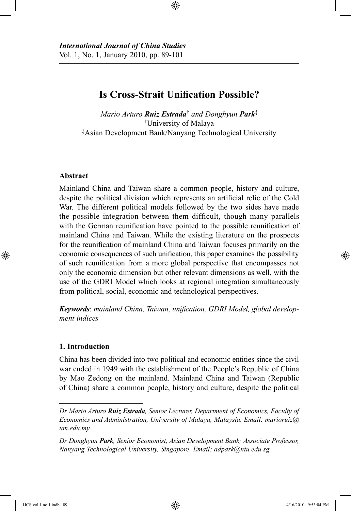*International Journal of China Studies* Vol. 1, No. 1, January 2010, pp. 89-101

# **Is Cross-Strait Unification Possible?**

⊕

*Mario Arturo Ruiz Estrada*† *and Donghyun Park*‡ †University of Malaya ‡Asian Development Bank/Nanyang Technological University

### **Abstract**

⊕

Mainland China and Taiwan share a common people, history and culture, despite the political division which represents an artificial relic of the Cold War. The different political models followed by the two sides have made the possible integration between them difficult, though many parallels with the German reunification have pointed to the possible reunification of mainland China and Taiwan. While the existing literature on the prospects for the reunification of mainland China and Taiwan focuses primarily on the economic consequences of such unification, this paper examines the possibility of such reunification from a more global perspective that encompasses not only the economic dimension but other relevant dimensions as well, with the use of the GDRI Model which looks at regional integration simultaneously from political, social, economic and technological perspectives.

*Keywords*: *mainland China, Taiwan, unification, GDRI Model, global development indices*

## **1. Introduction**

China has been divided into two political and economic entities since the civil war ended in 1949 with the establishment of the People's Republic of China by Mao Zedong on the mainland. Mainland China and Taiwan (Republic of China) share a common people, history and culture, despite the political

*Dr Mario Arturo Ruiz Estrada, Senior Lecturer, Department of Economics, Faculty of Economics and Administration, University of Malaya, Malaysia. Email: marioruiz@ um.edu.my*

*Dr Donghyun Park, Senior Economist, Asian Development Bank; Associate Professor, Nanyang Technological University, Singapore. Email: adpark@ntu.edu.sg*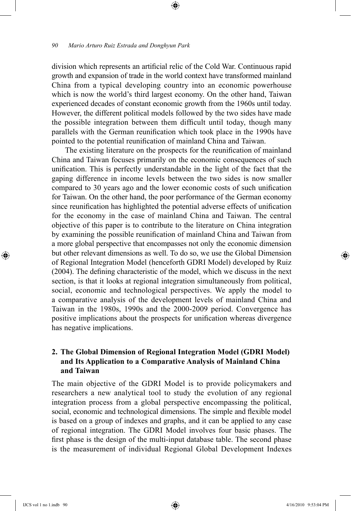division which represents an artificial relic of the Cold War. Continuous rapid growth and expansion of trade in the world context have transformed mainland China from a typical developing country into an economic powerhouse which is now the world's third largest economy. On the other hand, Taiwan experienced decades of constant economic growth from the 1960s until today. However, the different political models followed by the two sides have made the possible integration between them difficult until today, though many parallels with the German reunification which took place in the 1990s have pointed to the potential reunification of mainland China and Taiwan.

⊕

The existing literature on the prospects for the reunification of mainland China and Taiwan focuses primarily on the economic consequences of such unification. This is perfectly understandable in the light of the fact that the gaping difference in income levels between the two sides is now smaller compared to 30 years ago and the lower economic costs of such unification for Taiwan. On the other hand, the poor performance of the German economy since reunification has highlighted the potential adverse effects of unification for the economy in the case of mainland China and Taiwan. The central objective of this paper is to contribute to the literature on China integration by examining the possible reunification of mainland China and Taiwan from a more global perspective that encompasses not only the economic dimension but other relevant dimensions as well. To do so, we use the Global Dimension of Regional Integration Model (henceforth GDRI Model) developed by Ruiz (2004). The defining characteristic of the model, which we discuss in the next section, is that it looks at regional integration simultaneously from political, social, economic and technological perspectives. We apply the model to a comparative analysis of the development levels of mainland China and Taiwan in the 1980s, 1990s and the 2000-2009 period. Convergence has positive implications about the prospects for unification whereas divergence has negative implications.

## **2. The Global Dimension of Regional Integration Model (GDRI Model) and Its Application to a Comparative Analysis of Mainland China and Taiwan**

The main objective of the GDRI Model is to provide policymakers and researchers a new analytical tool to study the evolution of any regional integration process from a global perspective encompassing the political, social, economic and technological dimensions. The simple and flexible model is based on a group of indexes and graphs, and it can be applied to any case of regional integration. The GDRI Model involves four basic phases. The first phase is the design of the multi-input database table. The second phase is the measurement of individual Regional Global Development Indexes

IJCS vol 1 no 1.indb 90 4/16/2010 9:53:04 PM

⊕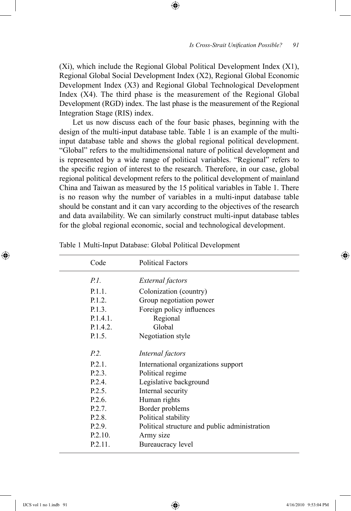(Xi), which include the Regional Global Political Development Index (X1), Regional Global Social Development Index (X2), Regional Global Economic Development Index (X3) and Regional Global Technological Development Index (X4). The third phase is the measurement of the Regional Global Development (RGD) index. The last phase is the measurement of the Regional Integration Stage (RIS) index.

⊕

Let us now discuss each of the four basic phases, beginning with the design of the multi-input database table. Table 1 is an example of the multiinput database table and shows the global regional political development. "Global" refers to the multidimensional nature of political development and is represented by a wide range of political variables. "Regional" refers to the specific region of interest to the research. Therefore, in our case, global regional political development refers to the political development of mainland China and Taiwan as measured by the 15 political variables in Table 1. There is no reason why the number of variables in a multi-input database table should be constant and it can vary according to the objectives of the research and data availability. We can similarly construct multi-input database tables for the global regional economic, social and technological development.

| Code      | <b>Political Factors</b>                      |
|-----------|-----------------------------------------------|
| $P_{l}$ . | External factors                              |
| P.1.1.    | Colonization (country)                        |
| P.1.2.    | Group negotiation power                       |
| P.1.3.    | Foreign policy influences                     |
| P.1.4.1.  | Regional                                      |
| P.1.4.2.  | Global                                        |
| P.1.5.    | Negotiation style                             |
| P.2.      | Internal factors                              |
| $P.2.1$ . | International organizations support           |
| P.2.3.    | Political regime                              |
| P.2.4     | Legislative background                        |
| P.2.5     | Internal security                             |
| P.2.6     | Human rights                                  |
| P.2.7.    | Border problems                               |
| P.2.8.    | Political stability                           |
| P.2.9.    | Political structure and public administration |
| P.2.10.   | Army size                                     |
| P.2.11.   | Bureaucracy level                             |
|           |                                               |

Table 1 Multi-Input Database: Global Political Development

⊕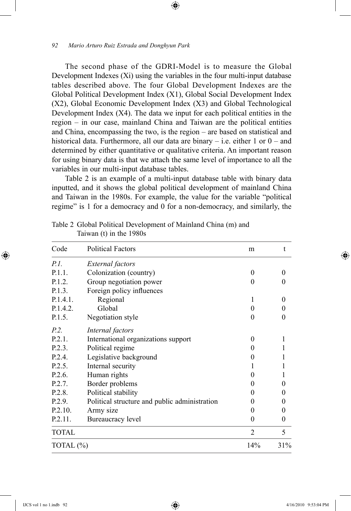The second phase of the GDRI-Model is to measure the Global Development Indexes (Xi) using the variables in the four multi-input database tables described above. The four Global Development Indexes are the Global Political Development Index (X1), Global Social Development Index (X2), Global Economic Development Index (X3) and Global Technological Development Index (X4). The data we input for each political entities in the region – in our case, mainland China and Taiwan are the political entities and China, encompassing the two, is the region – are based on statistical and historical data. Furthermore, all our data are binary  $-$  i.e. either 1 or  $0 -$  and determined by either quantitative or qualitative criteria. An important reason for using binary data is that we attach the same level of importance to all the variables in our multi-input database tables.

⊕

Table 2 is an example of a multi-input database table with binary data inputted, and it shows the global political development of mainland China and Taiwan in the 1980s. For example, the value for the variable "political regime" is 1 for a democracy and 0 for a non-democracy, and similarly, the

| Code      | <b>Political Factors</b>                      | m              | t                |
|-----------|-----------------------------------------------|----------------|------------------|
| P.L.      | External factors                              |                |                  |
| P.1.1.    | Colonization (country)                        | 0              | 0                |
| P.1.2.    | Group negotiation power                       | 0              | $\theta$         |
| P.1.3.    | Foreign policy influences                     |                |                  |
| P.1.4.1.  | Regional                                      |                | $\Omega$         |
| P.1.4.2.  | Global                                        | $\theta$       | $\theta$         |
| P.1.5.    | Negotiation style                             | 0              | $\theta$         |
| P.2.      | Internal factors                              |                |                  |
| P.2.1.    | International organizations support           | 0              | 1                |
| P.2.3.    | Political regime                              | $_{0}$         | 1                |
| P.2.4.    | Legislative background                        | 0              |                  |
| P.2.5.    | Internal security                             |                | 1                |
| P.2.6.    | Human rights                                  | 0              | 1                |
| P.2.7.    | Border problems                               | 0              | $\boldsymbol{0}$ |
| P.2.8.    | Political stability                           | 0              | $\boldsymbol{0}$ |
| P.2.9.    | Political structure and public administration | $_{0}$         | $\theta$         |
| P.2.10.   | Army size                                     | 0              | $\boldsymbol{0}$ |
| P.2.11.   | Bureaucracy level                             | 0              | $\boldsymbol{0}$ |
| TOTAL     |                                               | $\overline{2}$ | 5                |
| TOTAL (%) |                                               | 14%            | 31%              |

Table 2 Global Political Development of Mainland China (m) and Taiwan (t) in the 1980s

⊕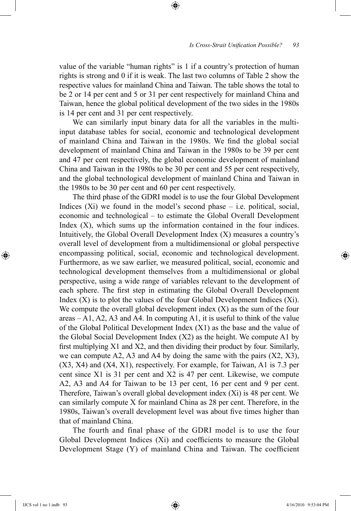value of the variable "human rights" is 1 if a country's protection of human rights is strong and 0 if it is weak. The last two columns of Table 2 show the respective values for mainland China and Taiwan. The table shows the total to be 2 or 14 per cent and 5 or 31 per cent respectively for mainland China and Taiwan, hence the global political development of the two sides in the 1980s is 14 per cent and 31 per cent respectively.

⊕

We can similarly input binary data for all the variables in the multiinput database tables for social, economic and technological development of mainland China and Taiwan in the 1980s. We find the global social development of mainland China and Taiwan in the 1980s to be 39 per cent and 47 per cent respectively, the global economic development of mainland China and Taiwan in the 1980s to be 30 per cent and 55 per cent respectively, and the global technological development of mainland China and Taiwan in the 1980s to be 30 per cent and 60 per cent respectively.

The third phase of the GDRI model is to use the four Global Development Indices  $(X_i)$  we found in the model's second phase  $-$  i.e. political, social, economic and technological – to estimate the Global Overall Development Index (X), which sums up the information contained in the four indices. Intuitively, the Global Overall Development Index (X) measures a country's overall level of development from a multidimensional or global perspective encompassing political, social, economic and technological development. Furthermore, as we saw earlier, we measured political, social, economic and technological development themselves from a multidimensional or global perspective, using a wide range of variables relevant to the development of each sphere. The first step in estimating the Global Overall Development Index  $(X)$  is to plot the values of the four Global Development Indices  $(X<sub>i</sub>)$ . We compute the overall global development index  $(X)$  as the sum of the four areas  $- A1$ , A2, A3 and A4. In computing A1, it is useful to think of the value of the Global Political Development Index (X1) as the base and the value of the Global Social Development Index (X2) as the height. We compute A1 by first multiplying X1 and X2, and then dividing their product by four. Similarly, we can compute A2, A3 and A4 by doing the same with the pairs (X2, X3), (X3, X4) and (X4, X1), respectively. For example, for Taiwan, A1 is 7.3 per cent since X1 is 31 per cent and X2 is 47 per cent. Likewise, we compute A2, A3 and A4 for Taiwan to be 13 per cent, 16 per cent and 9 per cent. Therefore, Taiwan's overall global development index (Xi) is 48 per cent. We can similarly compute X for mainland China as 28 per cent. Therefore, in the 1980s, Taiwan's overall development level was about five times higher than that of mainland China.

The fourth and final phase of the GDRI model is to use the four Global Development Indices (Xi) and coefficients to measure the Global Development Stage (Y) of mainland China and Taiwan. The coefficient

⊕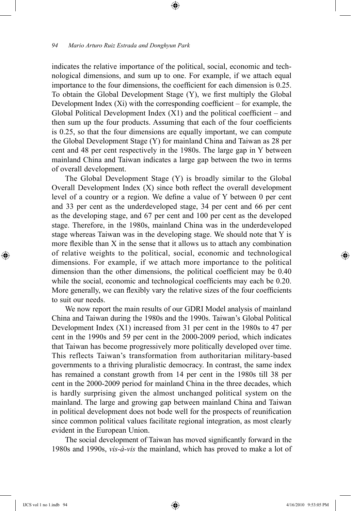indicates the relative importance of the political, social, economic and technological dimensions, and sum up to one. For example, if we attach equal importance to the four dimensions, the coefficient for each dimension is 0.25. To obtain the Global Development Stage (Y), we first multiply the Global Development Index  $(X_i)$  with the corresponding coefficient – for example, the Global Political Development Index  $(X1)$  and the political coefficient – and then sum up the four products. Assuming that each of the four coefficients is 0.25, so that the four dimensions are equally important, we can compute the Global Development Stage (Y) for mainland China and Taiwan as 28 per cent and 48 per cent respectively in the 1980s. The large gap in Y between mainland China and Taiwan indicates a large gap between the two in terms of overall development.

⊕

The Global Development Stage (Y) is broadly similar to the Global Overall Development Index (X) since both reflect the overall development level of a country or a region. We define a value of Y between 0 per cent and 33 per cent as the underdeveloped stage, 34 per cent and 66 per cent as the developing stage, and 67 per cent and 100 per cent as the developed stage. Therefore, in the 1980s, mainland China was in the underdeveloped stage whereas Taiwan was in the developing stage. We should note that Y is more flexible than X in the sense that it allows us to attach any combination of relative weights to the political, social, economic and technological dimensions. For example, if we attach more importance to the political dimension than the other dimensions, the political coefficient may be 0.40 while the social, economic and technological coefficients may each be 0.20. More generally, we can flexibly vary the relative sizes of the four coefficients to suit our needs.

We now report the main results of our GDRI Model analysis of mainland China and Taiwan during the 1980s and the 1990s. Taiwan's Global Political Development Index (X1) increased from 31 per cent in the 1980s to 47 per cent in the 1990s and 59 per cent in the 2000-2009 period, which indicates that Taiwan has become progressively more politically developed over time. This reflects Taiwan's transformation from authoritarian military-based governments to a thriving pluralistic democracy. In contrast, the same index has remained a constant growth from 14 per cent in the 1980s till 38 per cent in the 2000-2009 period for mainland China in the three decades, which is hardly surprising given the almost unchanged political system on the mainland. The large and growing gap between mainland China and Taiwan in political development does not bode well for the prospects of reunification since common political values facilitate regional integration, as most clearly evident in the European Union.

The social development of Taiwan has moved significantly forward in the 1980s and 1990s, *vis-à-vis* the mainland, which has proved to make a lot of

⊕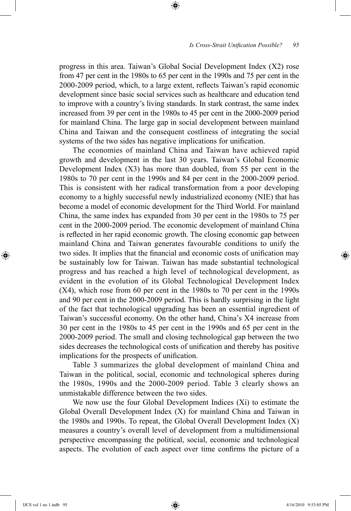#### *Is Cross-Strait Unification Possible? 95*

progress in this area. Taiwan's Global Social Development Index (X2) rose from 47 per cent in the 1980s to 65 per cent in the 1990s and 75 per cent in the 2000-2009 period, which, to a large extent, reflects Taiwan's rapid economic development since basic social services such as healthcare and education tend to improve with a country's living standards. In stark contrast, the same index increased from 39 per cent in the 1980s to 45 per cent in the 2000-2009 period for mainland China. The large gap in social development between mainland China and Taiwan and the consequent costliness of integrating the social systems of the two sides has negative implications for unification.

⊕

The economies of mainland China and Taiwan have achieved rapid growth and development in the last 30 years. Taiwan's Global Economic Development Index (X3) has more than doubled, from 55 per cent in the 1980s to 70 per cent in the 1990s and 84 per cent in the 2000-2009 period. This is consistent with her radical transformation from a poor developing economy to a highly successful newly industrialized economy (NIE) that has become a model of economic development for the Third World. For mainland China, the same index has expanded from 30 per cent in the 1980s to 75 per cent in the 2000-2009 period. The economic development of mainland China is reflected in her rapid economic growth. The closing economic gap between mainland China and Taiwan generates favourable conditions to unify the two sides. It implies that the financial and economic costs of unification may be sustainably low for Taiwan. Taiwan has made substantial technological progress and has reached a high level of technological development, as evident in the evolution of its Global Technological Development Index (X4), which rose from 60 per cent in the 1980s to 70 per cent in the 1990s and 90 per cent in the 2000-2009 period. This is hardly surprising in the light of the fact that technological upgrading has been an essential ingredient of Taiwan's successful economy. On the other hand, China's X4 increase from 30 per cent in the 1980s to 45 per cent in the 1990s and 65 per cent in the 2000-2009 period. The small and closing technological gap between the two sides decreases the technological costs of unification and thereby has positive implications for the prospects of unification.

Table 3 summarizes the global development of mainland China and Taiwan in the political, social, economic and technological spheres during the 1980s, 1990s and the 2000-2009 period. Table 3 clearly shows an unmistakable difference between the two sides.

We now use the four Global Development Indices (Xi) to estimate the Global Overall Development Index (X) for mainland China and Taiwan in the 1980s and 1990s. To repeat, the Global Overall Development Index (X) measures a country's overall level of development from a multidimensional perspective encompassing the political, social, economic and technological aspects. The evolution of each aspect over time confirms the picture of a

⊕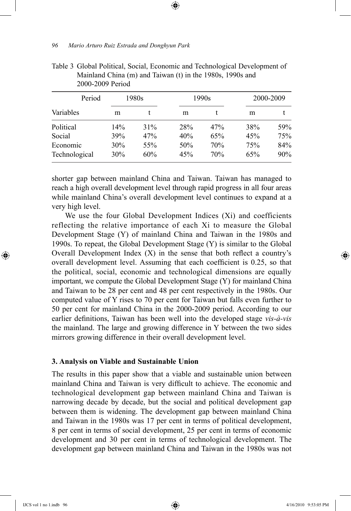| Period                    |            | 1980s      | 1990s      |            | 2000-2009  |            |
|---------------------------|------------|------------|------------|------------|------------|------------|
| Variables                 | m          |            | m          |            | m          |            |
| Political                 | 14%        | 31%        | 28%        | 47%        | 38%        | 59%        |
| Social                    | 39%        | 47%        | 40%        | 65%        | 45%        | 75%        |
| Economic<br>Technological | 30%<br>30% | 55%<br>60% | 50%<br>45% | 70%<br>70% | 75%<br>65% | 84%<br>90% |

Table 3 Global Political, Social, Economic and Technological Development of Mainland China (m) and Taiwan (t) in the 1980s, 1990s and 2000-2009 Period

⊕

shorter gap between mainland China and Taiwan. Taiwan has managed to reach a high overall development level through rapid progress in all four areas while mainland China's overall development level continues to expand at a very high level.

We use the four Global Development Indices (Xi) and coefficients reflecting the relative importance of each Xi to measure the Global Development Stage (Y) of mainland China and Taiwan in the 1980s and 1990s. To repeat, the Global Development Stage (Y) is similar to the Global Overall Development Index  $(X)$  in the sense that both reflect a country's overall development level. Assuming that each coefficient is 0.25, so that the political, social, economic and technological dimensions are equally important, we compute the Global Development Stage (Y) for mainland China and Taiwan to be 28 per cent and 48 per cent respectively in the 1980s. Our computed value of Y rises to 70 per cent for Taiwan but falls even further to 50 per cent for mainland China in the 2000-2009 period. According to our earlier definitions, Taiwan has been well into the developed stage *vis-à-vis* the mainland. The large and growing difference in Y between the two sides mirrors growing difference in their overall development level.

#### **3. Analysis on Viable and Sustainable Union**

The results in this paper show that a viable and sustainable union between mainland China and Taiwan is very difficult to achieve. The economic and technological development gap between mainland China and Taiwan is narrowing decade by decade, but the social and political development gap between them is widening. The development gap between mainland China and Taiwan in the 1980s was 17 per cent in terms of political development, 8 per cent in terms of social development, 25 per cent in terms of economic development and 30 per cent in terms of technological development. The development gap between mainland China and Taiwan in the 1980s was not

⊕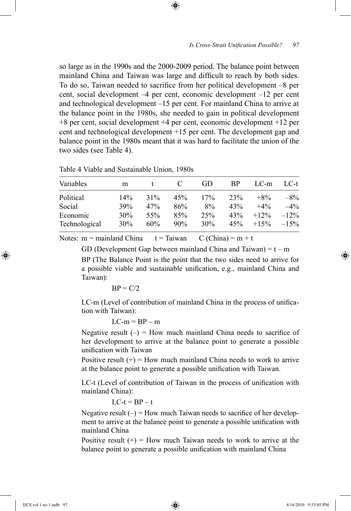so large as in the 1990s and the 2000-2009 period. The balance point between mainland China and Taiwan was large and difficult to reach by both sides. To do so, Taiwan needed to sacrifice from her political development –8 per cent, social development –4 per cent, economic development –12 per cent and technological development –15 per cent. For mainland China to arrive at the balance point in the 1980s, she needed to gain in political development +8 per cent, social development +4 per cent, economic development +12 per cent and technological development +15 per cent. The development gap and balance point in the 1980s meant that it was hard to facilitate the union of the two sides (see Table 4).

⊕

|  |  | Table + Viable and Sustaniable Union, 1760s |  |
|--|--|---------------------------------------------|--|
|  |  |                                             |  |

Table 4 Viable and Sustainable Union, 1980s

| Variables     | m   |     |     | GD  | <b>BP</b> | LC-m    | LC-t   |
|---------------|-----|-----|-----|-----|-----------|---------|--------|
| Political     | 14% | 31% | 45% | 17% | 23%       | $+8\%$  | $-8\%$ |
| Social        | 39% | 47% | 86% | 8%  | 43%       | $+4\%$  | $-4\%$ |
| Economic      | 30% | 55% | 85% | 25% | 43%       | $+12\%$ | $-12%$ |
| Technological | 30% | 60% | 90% | 30% | 45%       | $+15%$  | $-15%$ |

Notes:  $m =$  mainland China  $t =$  Taiwan  $C$  (China) =  $m + t$ 

GD (Development Gap between mainland China and Taiwan) =  $t - m$ BP (The Balance Point is the point that the two sides need to arrive for a possible viable and sustainable unification, e.g., mainland China and Taiwan):

$$
BP = C/2
$$

LC-m (Level of contribution of mainland China in the process of unification with Taiwan):

 $LC-m = BP - m$ 

Negative result  $(-)$  = How much mainland China needs to sacrifice of her development to arrive at the balance point to generate a possible unification with Taiwan

Positive result  $(+)$  = How much mainland China needs to work to arrive at the balance point to generate a possible unification with Taiwan.

LC-t (Level of contribution of Taiwan in the process of unification with mainland China):

 $LC-t = BP - t$ 

Negative result  $(-)$  = How much Taiwan needs to sacrifice of her development to arrive at the balance point to generate a possible unification with mainland China

Positive result  $(+)$  = How much Taiwan needs to work to arrive at the balance point to generate a possible unification with mainland China

⊕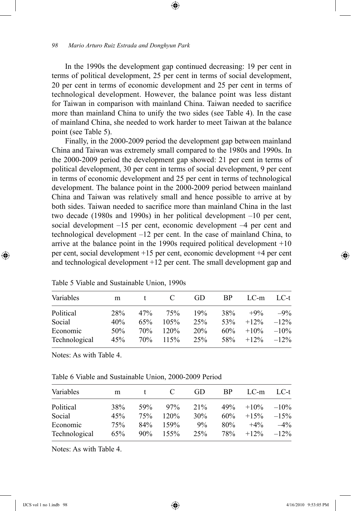In the 1990s the development gap continued decreasing: 19 per cent in terms of political development, 25 per cent in terms of social development, 20 per cent in terms of economic development and 25 per cent in terms of technological development. However, the balance point was less distant for Taiwan in comparison with mainland China. Taiwan needed to sacrifice more than mainland China to unify the two sides (see Table 4). In the case of mainland China, she needed to work harder to meet Taiwan at the balance point (see Table 5).

⊕

Finally, in the 2000-2009 period the development gap between mainland China and Taiwan was extremely small compared to the 1980s and 1990s. In the 2000-2009 period the development gap showed: 21 per cent in terms of political development, 30 per cent in terms of social development, 9 per cent in terms of economic development and 25 per cent in terms of technological development. The balance point in the 2000-2009 period between mainland China and Taiwan was relatively small and hence possible to arrive at by both sides. Taiwan needed to sacrifice more than mainland China in the last two decade (1980s and 1990s) in her political development –10 per cent, social development –15 per cent, economic development –4 per cent and technological development –12 per cent. In the case of mainland China, to arrive at the balance point in the 1990s required political development +10 per cent, social development +15 per cent, economic development +4 per cent and technological development +12 per cent. The small development gap and

| Variables     | m   |     | $\mathbf{C}$ | GD  | <b>BP</b> | LC-m          | LC-t    |
|---------------|-----|-----|--------------|-----|-----------|---------------|---------|
| Political     | 28% | 47% | 75%          | 19% | 38%       | $+9\%$        | $-9\%$  |
| Social        | 40% | 65% | 105%         | 25% | 53%       | $+12%$        | $-12\%$ |
| Economic      | 50% | 70% | 120%         | 20% | $60\%$    | $+10\%$       | $-10\%$ |
| Technological | 45% | 70% | 115%         | 25% | 58%       | $+12\% -12\%$ |         |

Table 5 Viable and Sustainable Union, 1990s

Notes: As with Table 4.

| Variables     | m   |        | C    | GD    | BP. | $LC-m$        | $LC-t$ |
|---------------|-----|--------|------|-------|-----|---------------|--------|
| Political     | 38% | 59%    | 97%  | 21%   | 49% | $+10\%$       | $-10%$ |
| Social        | 45% | 75%    | 120% | 30%   | 60% | $+15%$        | $-15%$ |
| Economic      | 75% | 84%    | 159% | $9\%$ | 80% | $+4\%$        | $-4\%$ |
| Technological | 65% | $90\%$ | 155% | 25%   | 78% | $+12\% -12\%$ |        |

Notes: As with Table 4.

⊕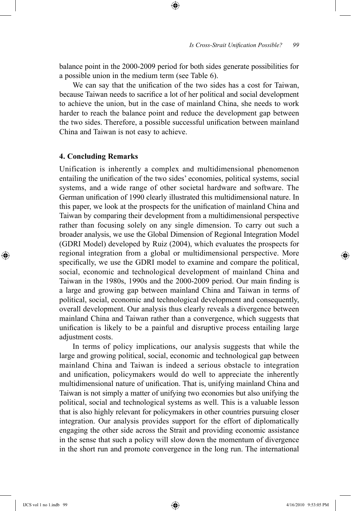balance point in the 2000-2009 period for both sides generate possibilities for a possible union in the medium term (see Table 6).

⊕

We can say that the unification of the two sides has a cost for Taiwan, because Taiwan needs to sacrifice a lot of her political and social development to achieve the union, but in the case of mainland China, she needs to work harder to reach the balance point and reduce the development gap between the two sides. Therefore, a possible successful unification between mainland China and Taiwan is not easy to achieve.

### **4. Concluding Remarks**

Unification is inherently a complex and multidimensional phenomenon entailing the unification of the two sides' economies, political systems, social systems, and a wide range of other societal hardware and software. The German unification of 1990 clearly illustrated this multidimensional nature. In this paper, we look at the prospects for the unification of mainland China and Taiwan by comparing their development from a multidimensional perspective rather than focusing solely on any single dimension. To carry out such a broader analysis, we use the Global Dimension of Regional Integration Model (GDRI Model) developed by Ruiz (2004), which evaluates the prospects for regional integration from a global or multidimensional perspective. More specifically, we use the GDRI model to examine and compare the political, social, economic and technological development of mainland China and Taiwan in the 1980s, 1990s and the 2000-2009 period. Our main finding is a large and growing gap between mainland China and Taiwan in terms of political, social, economic and technological development and consequently, overall development. Our analysis thus clearly reveals a divergence between mainland China and Taiwan rather than a convergence, which suggests that unification is likely to be a painful and disruptive process entailing large adjustment costs.

In terms of policy implications, our analysis suggests that while the large and growing political, social, economic and technological gap between mainland China and Taiwan is indeed a serious obstacle to integration and unification, policymakers would do well to appreciate the inherently multidimensional nature of unification. That is, unifying mainland China and Taiwan is not simply a matter of unifying two economies but also unifying the political, social and technological systems as well. This is a valuable lesson that is also highly relevant for policymakers in other countries pursuing closer integration. Our analysis provides support for the effort of diplomatically engaging the other side across the Strait and providing economic assistance in the sense that such a policy will slow down the momentum of divergence in the short run and promote convergence in the long run. The international

⊕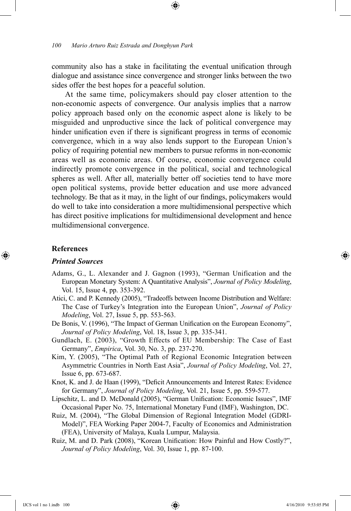community also has a stake in facilitating the eventual unification through dialogue and assistance since convergence and stronger links between the two sides offer the best hopes for a peaceful solution.

At the same time, policymakers should pay closer attention to the non-economic aspects of convergence. Our analysis implies that a narrow policy approach based only on the economic aspect alone is likely to be misguided and unproductive since the lack of political convergence may hinder unification even if there is significant progress in terms of economic convergence, which in a way also lends support to the European Union's policy of requiring potential new members to pursue reforms in non-economic areas well as economic areas. Of course, economic convergence could indirectly promote convergence in the political, social and technological spheres as well. After all, materially better off societies tend to have more open political systems, provide better education and use more advanced technology. Be that as it may, in the light of our findings, policymakers would do well to take into consideration a more multidimensional perspective which has direct positive implications for multidimensional development and hence multidimensional convergence.

#### **References**

⊕

#### *Printed Sources*

- Adams, G., L. Alexander and J. Gagnon (1993), "German Unification and the European Monetary System: A Quantitative Analysis", *Journal of Policy Modeling*, Vol. 15, Issue 4, pp. 353-392.
- Atici, C. and P. Kennedy (2005), "Tradeoffs between Income Distribution and Welfare: The Case of Turkey's Integration into the European Union", *Journal of Policy Modeling*, Vol. 27, Issue 5, pp. 553-563.
- De Bonis, V. (1996), "The Impact of German Unification on the European Economy", *Journal of Policy Modeling*, Vol. 18, Issue 3, pp. 335-341.
- Gundlach, E. (2003), "Growth Effects of EU Membership: The Case of East Germany", *Empirica*, Vol. 30, No. 3, pp. 237-270.
- Kim, Y. (2005), "The Optimal Path of Regional Economic Integration between Asymmetric Countries in North East Asia", *Journal of Policy Modeling*, Vol. 27, Issue 6, pp. 673-687.
- Knot, K. and J. de Haan (1999), "Deficit Announcements and Interest Rates: Evidence for Germany", *Journal of Policy Modeling*, Vol. 21, Issue 5, pp. 559-577.
- Lipschitz, L. and D. McDonald (2005), "German Unification: Economic Issues", IMF Occasional Paper No. 75, International Monetary Fund (IMF), Washington, DC.
- Ruiz, M. (2004), "The Global Dimension of Regional Integration Model (GDRI-Model)", FEA Working Paper 2004-7, Faculty of Economics and Administration (FEA), University of Malaya, Kuala Lumpur, Malaysia.
- Ruiz, M. and D. Park (2008), "Korean Unification: How Painful and How Costly?", *Journal of Policy Modeling*, Vol. 30, Issue 1, pp. 87-100.